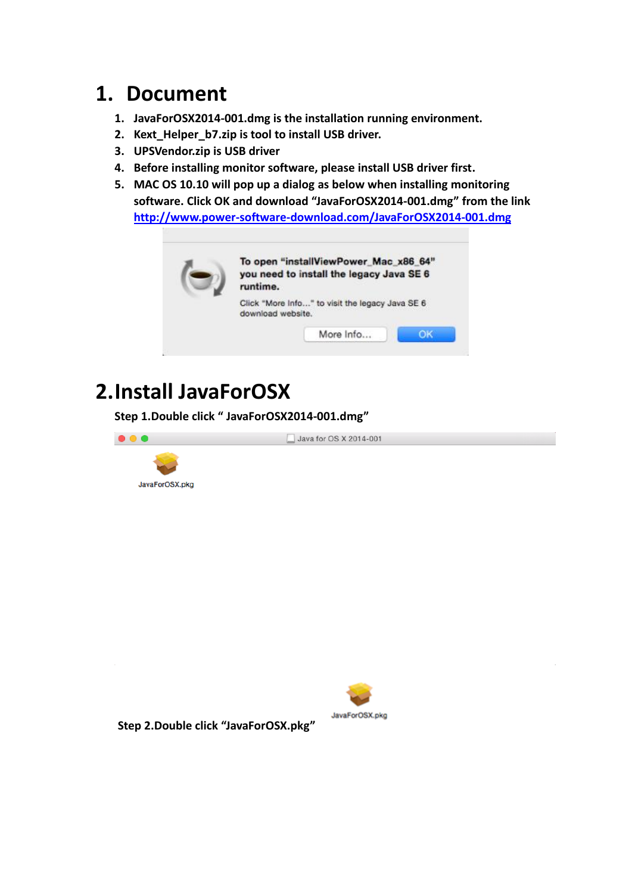## **1. Document**

- **1. JavaForOSX2014-001.dmg is the installation running environment.**
- **2. Kext\_Helper\_b7.zip is tool to install USB driver.**
- **3. UPSVendor.zip is USB driver**
- **4. Before installing monitor software, please install USB driver first.**
- **5. MAC OS 10.10 will pop up a dialog as below when installing monitoring software. Click OK and download "JavaForOSX2014-001.dmg" from the link <http://www.power-software-download.com/JavaForOSX2014-001.dmg>**



# **2.Install JavaForOSX**

**Step 1.Double click " JavaForOSX2014-001.dmg"**





**Step 2.Double click "JavaForOSX.pkg"**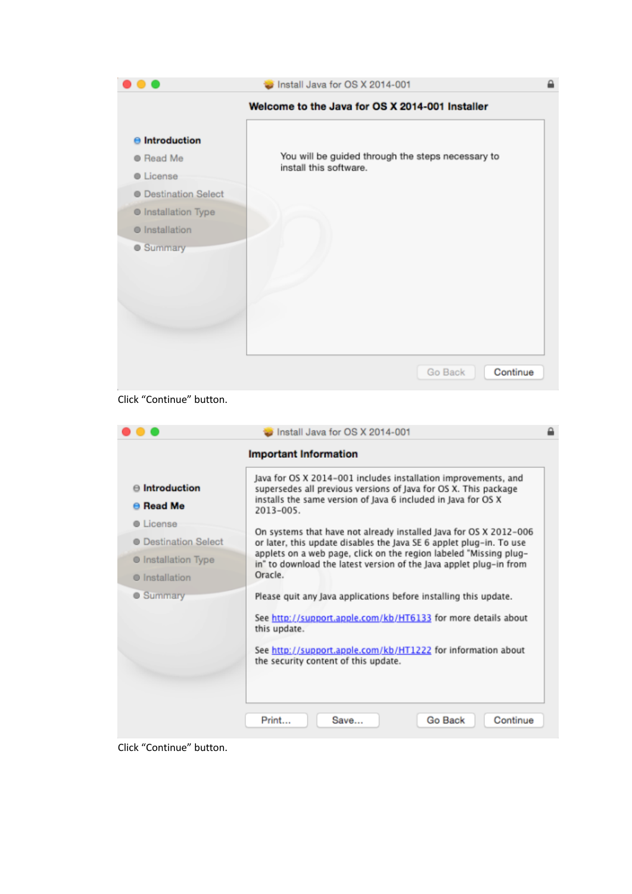

#### Click "Continue" button.

|                                                                                                        | Install Java for OS X 2014-001                                                                                                                                                                                                                                                                 |  |
|--------------------------------------------------------------------------------------------------------|------------------------------------------------------------------------------------------------------------------------------------------------------------------------------------------------------------------------------------------------------------------------------------------------|--|
|                                                                                                        | <b>Important Information</b>                                                                                                                                                                                                                                                                   |  |
| $\Theta$ Introduction<br>$\Theta$ Read Me                                                              | Java for OS X 2014-001 includes installation improvements, and<br>supersedes all previous versions of Java for OS X. This package<br>installs the same version of Java 6 included in Java for OS X<br>$2013 - 005.$                                                                            |  |
| <b>O</b> License<br><b>O</b> Destination Select<br><b>O</b> Installation Type<br><b>O</b> Installation | On systems that have not already installed Java for OS X 2012-006<br>or later, this update disables the Java SE 6 applet plug-in. To use<br>applets on a web page, click on the region labeled "Missing plug-<br>in" to download the latest version of the Java applet plug-in from<br>Oracle. |  |
| <b>C</b> Summary                                                                                       | Please quit any Java applications before installing this update.<br>See http://support.apple.com/kb/HT6133 for more details about<br>this update.<br>See http://support.apple.com/kb/HT1222 for information about<br>the security content of this update.                                      |  |
|                                                                                                        | Go Back<br>Continue<br>Print<br>Save                                                                                                                                                                                                                                                           |  |

Click "Continue" button.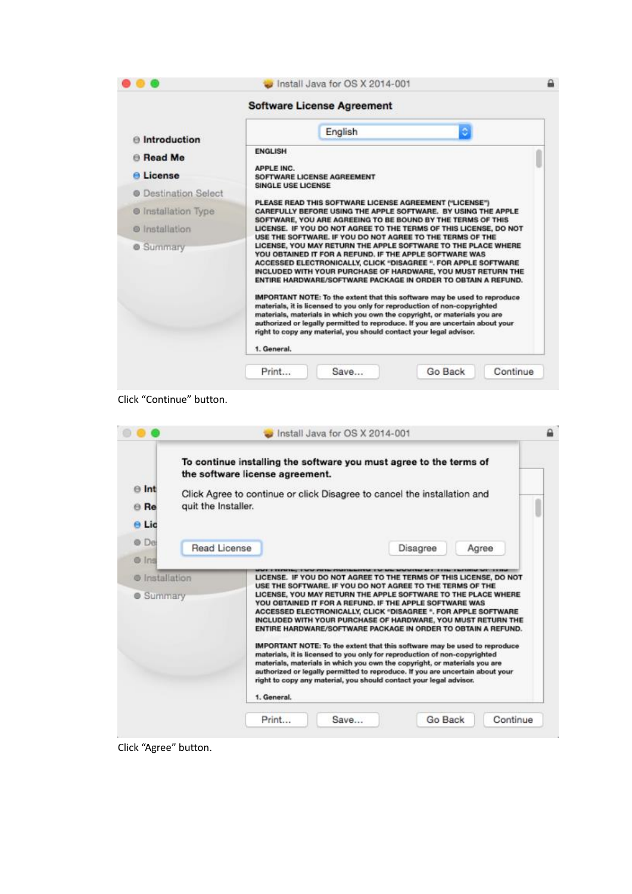|                             | <b>Software License Agreement</b>                                                                                                                                                                                                                                                                                                                                                                                                                                                                                                                                                                                                                                                                                                                                                                     |
|-----------------------------|-------------------------------------------------------------------------------------------------------------------------------------------------------------------------------------------------------------------------------------------------------------------------------------------------------------------------------------------------------------------------------------------------------------------------------------------------------------------------------------------------------------------------------------------------------------------------------------------------------------------------------------------------------------------------------------------------------------------------------------------------------------------------------------------------------|
| $\Theta$ Introduction       | $\circ$<br>English                                                                                                                                                                                                                                                                                                                                                                                                                                                                                                                                                                                                                                                                                                                                                                                    |
| <b>B</b> Read Me            | <b>ENGLISH</b>                                                                                                                                                                                                                                                                                                                                                                                                                                                                                                                                                                                                                                                                                                                                                                                        |
| <b>A</b> License            | <b>APPLE INC.</b><br>SOFTWARE LICENSE AGREEMENT                                                                                                                                                                                                                                                                                                                                                                                                                                                                                                                                                                                                                                                                                                                                                       |
| <b>@ Destination Select</b> | SINGLE USE LICENSE                                                                                                                                                                                                                                                                                                                                                                                                                                                                                                                                                                                                                                                                                                                                                                                    |
| <b>O</b> Installation Type  | PLEASE READ THIS SOFTWARE LICENSE AGREEMENT ("LICENSE")<br>CAREFULLY BEFORE USING THE APPLE SOFTWARE. BY USING THE APPLE                                                                                                                                                                                                                                                                                                                                                                                                                                                                                                                                                                                                                                                                              |
| <b>O</b> Installation       | SOFTWARE, YOU ARE AGREEING TO BE BOUND BY THE TERMS OF THIS<br>LICENSE. IF YOU DO NOT AGREE TO THE TERMS OF THIS LICENSE, DO NOT                                                                                                                                                                                                                                                                                                                                                                                                                                                                                                                                                                                                                                                                      |
| <b>Summary</b>              | USE THE SOFTWARE. IF YOU DO NOT AGREE TO THE TERMS OF THE<br>LICENSE, YOU MAY RETURN THE APPLE SOFTWARE TO THE PLACE WHERE<br>YOU OBTAINED IT FOR A REFUND. IF THE APPLE SOFTWARE WAS<br>ACCESSED ELECTRONICALLY, CLICK "DISAGREE ". FOR APPLE SOFTWARE<br>INCLUDED WITH YOUR PURCHASE OF HARDWARE, YOU MUST RETURN THE<br>ENTIRE HARDWARE/SOFTWARE PACKAGE IN ORDER TO OBTAIN A REFUND.<br>IMPORTANT NOTE: To the extent that this software may be used to reproduce<br>materials, it is licensed to you only for reproduction of non-copyrighted<br>materials, materials in which you own the copyright, or materials you are<br>authorized or legally permitted to reproduce. If you are uncertain about your<br>right to copy any material, you should contact your legal advisor.<br>1. General. |

Click "Continue" button.

|                                    |                     | To continue installing the software you must agree to the terms of<br>the software license agreement.                                                                                                                                                                                                                                                                                                                                                                                                                                                                                                                                                                                                                                                                                                                                                       |       |
|------------------------------------|---------------------|-------------------------------------------------------------------------------------------------------------------------------------------------------------------------------------------------------------------------------------------------------------------------------------------------------------------------------------------------------------------------------------------------------------------------------------------------------------------------------------------------------------------------------------------------------------------------------------------------------------------------------------------------------------------------------------------------------------------------------------------------------------------------------------------------------------------------------------------------------------|-------|
| $\theta$ Int                       |                     | Click Agree to continue or click Disagree to cancel the installation and                                                                                                                                                                                                                                                                                                                                                                                                                                                                                                                                                                                                                                                                                                                                                                                    |       |
| <b>⊕</b> Re                        | quit the Installer. |                                                                                                                                                                                                                                                                                                                                                                                                                                                                                                                                                                                                                                                                                                                                                                                                                                                             |       |
| e Lic                              |                     |                                                                                                                                                                                                                                                                                                                                                                                                                                                                                                                                                                                                                                                                                                                                                                                                                                                             |       |
| ® De                               | Read License        | Disagree                                                                                                                                                                                                                                                                                                                                                                                                                                                                                                                                                                                                                                                                                                                                                                                                                                                    | Agree |
| @ Ins                              |                     |                                                                                                                                                                                                                                                                                                                                                                                                                                                                                                                                                                                                                                                                                                                                                                                                                                                             |       |
| @ Installation<br><b>6 Summary</b> |                     | LICENSE. IF YOU DO NOT AGREE TO THE TERMS OF THIS LICENSE, DO NOT<br>USE THE SOFTWARE. IF YOU DO NOT AGREE TO THE TERMS OF THE<br>LICENSE, YOU MAY RETURN THE APPLE SOFTWARE TO THE PLACE WHERE<br>YOU OBTAINED IT FOR A REFUND. IF THE APPLE SOFTWARE WAS<br>ACCESSED ELECTRONICALLY, CLICK "DISAGREE ". FOR APPLE SOFTWARE<br>INCLUDED WITH YOUR PURCHASE OF HARDWARE, YOU MUST RETURN THE<br>ENTIRE HARDWARE/SOFTWARE PACKAGE IN ORDER TO OBTAIN A REFUND.<br>IMPORTANT NOTE: To the extent that this software may be used to reproduce<br>materials, it is licensed to you only for reproduction of non-copyrighted<br>materials, materials in which you own the copyright, or materials you are<br>authorized or legally permitted to reproduce. If you are uncertain about your<br>right to copy any material, you should contact your legal advisor. |       |

Click "Agree" button.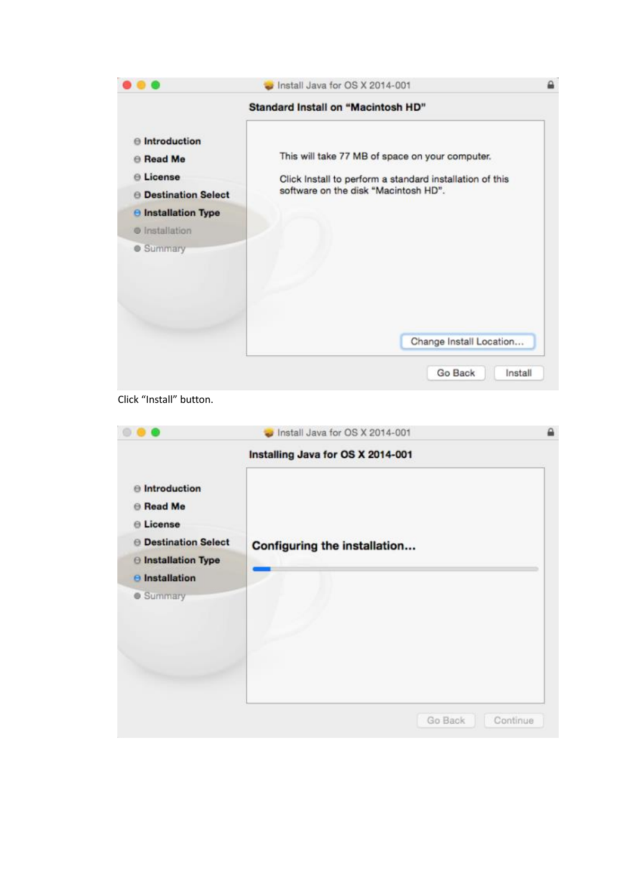|                                                                                                                                                                  | Install Java for OS X 2014-001                                                                                                                      |  |
|------------------------------------------------------------------------------------------------------------------------------------------------------------------|-----------------------------------------------------------------------------------------------------------------------------------------------------|--|
|                                                                                                                                                                  | <b>Standard Install on "Macintosh HD"</b>                                                                                                           |  |
| $\theta$ Introduction<br><b>B</b> Read Me<br><b>□ License</b><br><b>B</b> Destination Select<br><b>B</b> Installation Type<br>@ Installation<br><b>6</b> Summary | This will take 77 MB of space on your computer.<br>Click Install to perform a standard installation of this<br>software on the disk "Macintosh HD". |  |
|                                                                                                                                                                  | Change Install Location                                                                                                                             |  |

Click "Install" button.

|                                                                    | Install Java for OS X 2014-001    |          |
|--------------------------------------------------------------------|-----------------------------------|----------|
|                                                                    | Installing Java for OS X 2014-001 |          |
| <b>Introduction</b><br><b>B</b> Read Me<br><b><i>■</i></b> License |                                   |          |
| <b>B</b> Destination Select                                        | Configuring the installation      |          |
| <b>B</b> Installation Type                                         |                                   |          |
| $\Theta$ Installation                                              |                                   |          |
| <b>6</b> Summary                                                   |                                   |          |
|                                                                    | Go Back                           | Continue |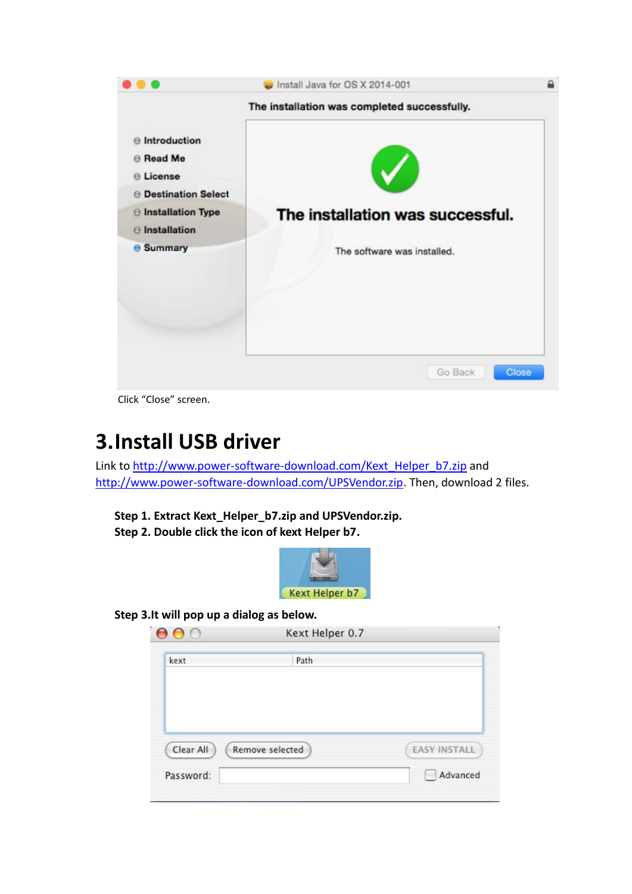

Click "Close" screen.

## **3.Install USB driver**

Link to [http://www.power-software-download.com/Kext\\_Helper\\_b7.zip](http://www.power-software-download.com/Kext_Helper_b7.zip) and [http://www.power-software-download.com/UPSVendor.zip.](http://www.power-software-download.com/UPSVendor.zip) Then, download 2 files.

**Step 1. Extract Kext\_Helper\_b7.zip and UPSVendor.zip. Step 2. Double click the icon of kext Helper b7.**



**Step 3.It will pop up a dialog as below.**

| kext | Path |  |
|------|------|--|
|      |      |  |
|      |      |  |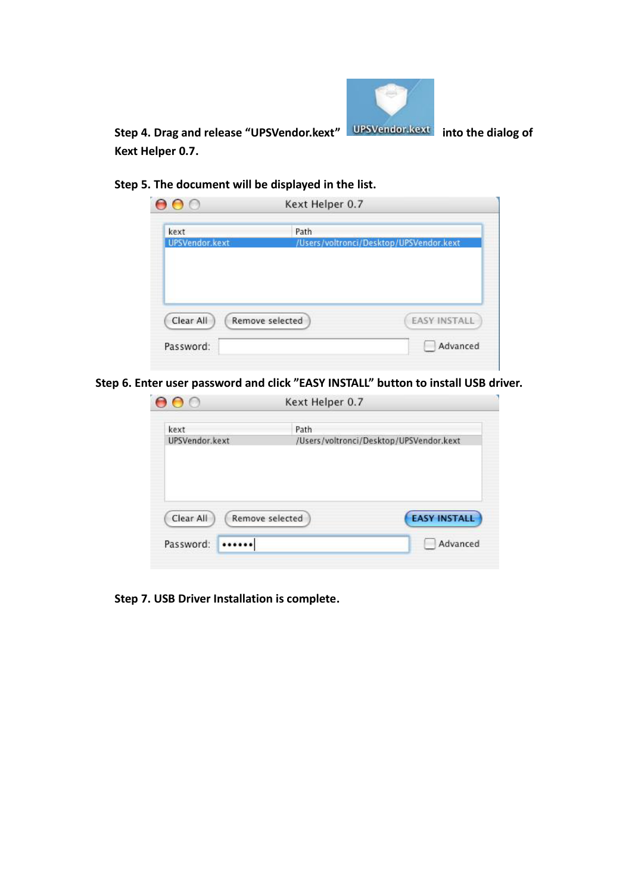

**Step 4. Drag and release "UPSVendor.kext" into the dialog of Kext Helper 0.7.**

**Step 5. The document will be displayed in the list.**

| kext           | Path            |                                         |
|----------------|-----------------|-----------------------------------------|
| UPSVendor.kext |                 | /Users/voltronci/Desktop/UPSVendor.kext |
|                |                 |                                         |
|                |                 |                                         |
|                |                 |                                         |
|                |                 |                                         |
|                |                 |                                         |
| Clear All      | Remove selected | <b>EASY INSTALL</b>                     |

**Step 6. Enter user password and click "EASY INSTALL" button to install USB driver.**

| kext           | Path            |                                         |
|----------------|-----------------|-----------------------------------------|
| UPSVendor.kext |                 | /Users/voltronci/Desktop/UPSVendor.kext |
|                |                 |                                         |
|                |                 |                                         |
|                |                 |                                         |
|                |                 |                                         |
|                |                 |                                         |
| Clear All      | Remove selected | <b>EASY INSTALL</b>                     |

**Step 7. USB Driver Installation is complete.**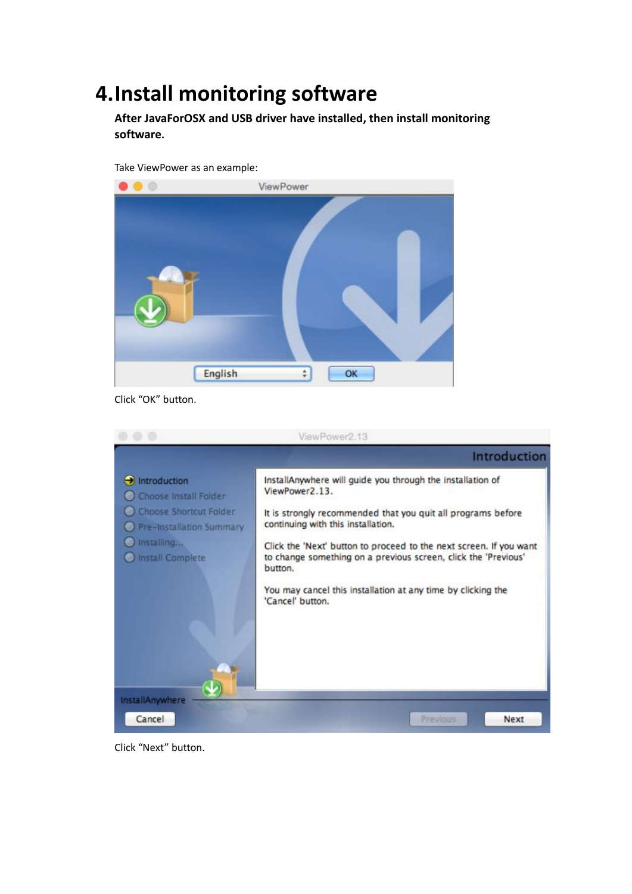### **4.Install monitoring software**

**After JavaForOSX and USB driver have installed, then install monitoring software.**



Click "OK" button.



Click "Next" button.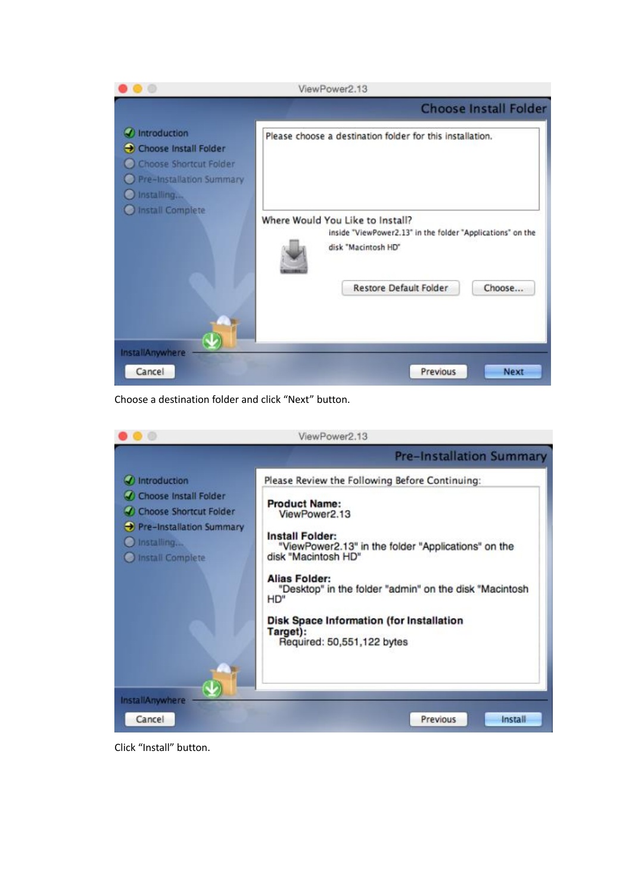

Choose a destination folder and click "Next" button.



Click "Install" button.